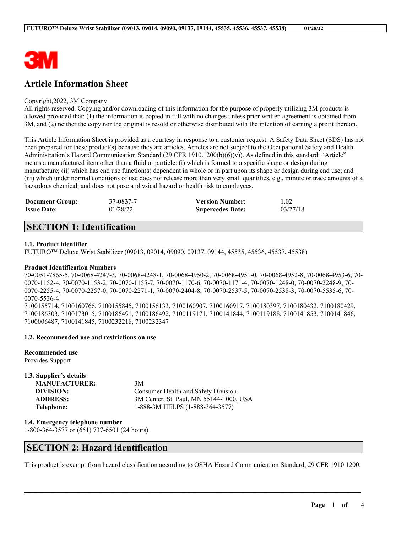

# **Article Information Sheet**

#### Copyright,2022, 3M Company.

All rights reserved. Copying and/or downloading of this information for the purpose of properly utilizing 3M products is allowed provided that: (1) the information is copied in full with no changes unless prior written agreement is obtained from 3M, and (2) neither the copy nor the original is resold or otherwise distributed with the intention of earning a profit thereon.

This Article Information Sheet is provided as a courtesy in response to a customer request. A Safety Data Sheet (SDS) has not been prepared for these product(s) because they are articles. Articles are not subject to the Occupational Safety and Health Administration's Hazard Communication Standard (29 CFR 1910.1200(b)(6)(v)). As defined in this standard: "Article" means a manufactured item other than a fluid or particle: (i) which is formed to a specific shape or design during manufacture; (ii) which has end use function(s) dependent in whole or in part upon its shape or design during end use; and (iii) which under normal conditions of use does not release more than very small quantities, e.g., minute or trace amounts of a hazardous chemical, and does not pose a physical hazard or health risk to employees.

| <b>Document Group:</b> | 37-0837-7 | <b>Version Number:</b>  | 1.02     |
|------------------------|-----------|-------------------------|----------|
| <b>Issue Date:</b>     | 01/28/22  | <b>Supercedes Date:</b> | 03/27/18 |

# **SECTION 1: Identification**

### **1.1. Product identifier**

FUTURO™ Deluxe Wrist Stabilizer (09013, 09014, 09090, 09137, 09144, 45535, 45536, 45537, 45538)

#### **Product Identification Numbers**

70-0051-7865-5, 70-0068-4247-3, 70-0068-4248-1, 70-0068-4950-2, 70-0068-4951-0, 70-0068-4952-8, 70-0068-4953-6, 70- 0070-1152-4, 70-0070-1153-2, 70-0070-1155-7, 70-0070-1170-6, 70-0070-1171-4, 70-0070-1248-0, 70-0070-2248-9, 70- 0070-2255-4, 70-0070-2257-0, 70-0070-2271-1, 70-0070-2404-8, 70-0070-2537-5, 70-0070-2538-3, 70-0070-5535-6, 70- 0070-5536-4

7100155714, 7100160766, 7100155845, 7100156133, 7100160907, 7100160917, 7100180397, 7100180432, 7100180429, 7100186303, 7100173015, 7100186491, 7100186492, 7100119171, 7100141844, 7100119188, 7100141853, 7100141846, 7100006487, 7100141845, 7100232218, 7100232347

#### **1.2. Recommended use and restrictions on use**

**Recommended use** Provides Support

| 1.3. Supplier's details |                                         |
|-------------------------|-----------------------------------------|
| <b>MANUFACTURER:</b>    | 3M                                      |
| DIVISION:               | Consumer Health and Safety Division     |
| <b>ADDRESS:</b>         | 3M Center, St. Paul, MN 55144-1000, USA |
| Telephone:              | 1-888-3M HELPS (1-888-364-3577)         |

**1.4. Emergency telephone number**

1-800-364-3577 or (651) 737-6501 (24 hours)

## **SECTION 2: Hazard identification**

This product is exempt from hazard classification according to OSHA Hazard Communication Standard, 29 CFR 1910.1200.

 $\mathcal{L}_\mathcal{L} = \mathcal{L}_\mathcal{L} = \mathcal{L}_\mathcal{L} = \mathcal{L}_\mathcal{L} = \mathcal{L}_\mathcal{L} = \mathcal{L}_\mathcal{L} = \mathcal{L}_\mathcal{L} = \mathcal{L}_\mathcal{L} = \mathcal{L}_\mathcal{L} = \mathcal{L}_\mathcal{L} = \mathcal{L}_\mathcal{L} = \mathcal{L}_\mathcal{L} = \mathcal{L}_\mathcal{L} = \mathcal{L}_\mathcal{L} = \mathcal{L}_\mathcal{L} = \mathcal{L}_\mathcal{L} = \mathcal{L}_\mathcal{L}$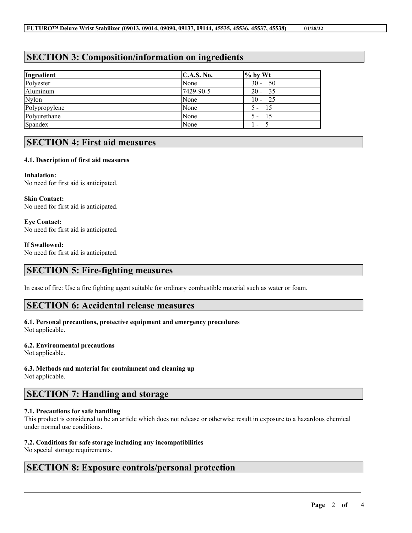# **SECTION 3: Composition/information on ingredients**

| Ingredient    | C.A.S. No. | $\%$ by Wt               |
|---------------|------------|--------------------------|
| Polyester     | None       | $30 - 50$                |
| Aluminum      | 7429-90-5  | $20 - 35$                |
| <b>Nylon</b>  | None       | $10 - 25$                |
| Polypropylene | None       | $5 -$<br>- 15            |
| Polyurethane  | None       | - 15<br>$5 -$            |
| Spandex       | None       | $\overline{\phantom{a}}$ |

## **SECTION 4: First aid measures**

### **4.1. Description of first aid measures**

**Inhalation:** No need for first aid is anticipated.

**Skin Contact:** No need for first aid is anticipated.

**Eye Contact:** No need for first aid is anticipated.

### **If Swallowed:**

No need for first aid is anticipated.

## **SECTION 5: Fire-fighting measures**

In case of fire: Use a fire fighting agent suitable for ordinary combustible material such as water or foam.

## **SECTION 6: Accidental release measures**

### **6.1. Personal precautions, protective equipment and emergency procedures** Not applicable.

### **6.2. Environmental precautions**

Not applicable.

# **6.3. Methods and material for containment and cleaning up**

Not applicable.

# **SECTION 7: Handling and storage**

### **7.1. Precautions for safe handling**

This product is considered to be an article which does not release or otherwise result in exposure to a hazardous chemical under normal use conditions.

 $\mathcal{L}_\mathcal{L} = \mathcal{L}_\mathcal{L} = \mathcal{L}_\mathcal{L} = \mathcal{L}_\mathcal{L} = \mathcal{L}_\mathcal{L} = \mathcal{L}_\mathcal{L} = \mathcal{L}_\mathcal{L} = \mathcal{L}_\mathcal{L} = \mathcal{L}_\mathcal{L} = \mathcal{L}_\mathcal{L} = \mathcal{L}_\mathcal{L} = \mathcal{L}_\mathcal{L} = \mathcal{L}_\mathcal{L} = \mathcal{L}_\mathcal{L} = \mathcal{L}_\mathcal{L} = \mathcal{L}_\mathcal{L} = \mathcal{L}_\mathcal{L}$ 

### **7.2. Conditions for safe storage including any incompatibilities**

No special storage requirements.

## **SECTION 8: Exposure controls/personal protection**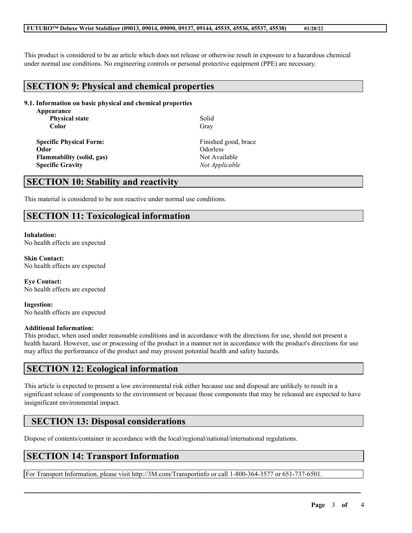This product is considered to be an article which does not release or otherwise result in exposure to a hazardous chemical under normal use conditions. No engineering controls or personal protective equipment (PPE) are necessary.

## **SECTION 9: Physical and chemical properties**

### **9.1. Information on basic physical and chemical properties**

**Appearance Physical state Color**

**Specific Physical Form:** Finished good, brace **Odor** Odorless **Flammability** (solid, gas) Not Available **Specific Gravity** *Not Applicable*

Solid Gray

## **SECTION 10: Stability and reactivity**

This material is considered to be non reactive under normal use conditions.

# **SECTION 11: Toxicological information**

**Inhalation:** No health effects are expected

**Skin Contact:** No health effects are expected

**Eye Contact:** No health effects are expected

**Ingestion:** No health effects are expected

### **Additional Information:**

This product, when used under reasonable conditions and in accordance with the directions for use, should not present a health hazard. However, use or processing of the product in a manner not in accordance with the product's directions for use may affect the performance of the product and may present potential health and safety hazards.

## **SECTION 12: Ecological information**

This article is expected to present a low environmental risk either because use and disposal are unlikely to result in a significant release of components to the environment or because those components that may be released are expected to have insignificant environmental impact.

 $\mathcal{L}_\mathcal{L} = \mathcal{L}_\mathcal{L} = \mathcal{L}_\mathcal{L} = \mathcal{L}_\mathcal{L} = \mathcal{L}_\mathcal{L} = \mathcal{L}_\mathcal{L} = \mathcal{L}_\mathcal{L} = \mathcal{L}_\mathcal{L} = \mathcal{L}_\mathcal{L} = \mathcal{L}_\mathcal{L} = \mathcal{L}_\mathcal{L} = \mathcal{L}_\mathcal{L} = \mathcal{L}_\mathcal{L} = \mathcal{L}_\mathcal{L} = \mathcal{L}_\mathcal{L} = \mathcal{L}_\mathcal{L} = \mathcal{L}_\mathcal{L}$ 

# **SECTION 13: Disposal considerations**

Dispose of contents/container in accordance with the local/regional/national/international regulations.

# **SECTION 14: Transport Information**

For Transport Information, please visit http://3M.com/Transportinfo or call 1-800-364-3577 or 651-737-6501.